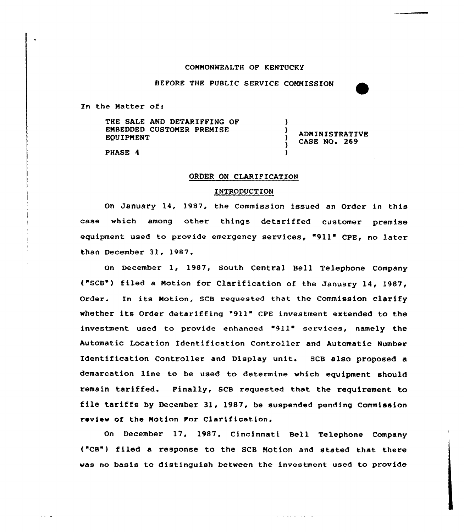#### COMMONWEALTH OF KENTUCKY

BEFORE THE PUBLIC SERVICE COMMISSION

In the Matter of:

THE SALE AND DETARIFFING OF EMBEDDED CUSTOMER PREMISE EQUIPMENT

ADMINISTRATIUE CASE NO. 269

 $\left\{ \right.$ 

A,

)

)

PHASE 4

أدارا وأوادوها ومناو

## ORDER ON CLARIFICATION

## INTRODUCTION

On January 14, 1987, the Commission issued an Order in this case which among other things detariffed customer premise equipment used to provide emergency services, "911" CPE, no later than December 31, 1987.

on December 1, 1987, South Central Bell Telephone Company ("SCB") filed a Motion for Clarification of the January 14, 1987, order. In its Motion, scB requested that the commission clarify whether its Order detariffing '911" CPE investment extended to the investment used to provide enhanced "911" services, namely the Automatic Location Identification Controller and Automatic Number Identification Controller and Display unit. SCB also proposed a demarcation line to be used to determine which equipment should remain tariffed. Finally, SCB requested that the requirement to file tariffs by December 31, 1987, be suspended pending Commission review of. the Motion For Clarif ication.

On December 17, 1987, Cincinnati Bell Telephone Company ("CB") filed a response to the SCB Motion and stated that there was no basis to distinguish between the investment used to provide

 $\mu$  . The property is a set of  $\mu$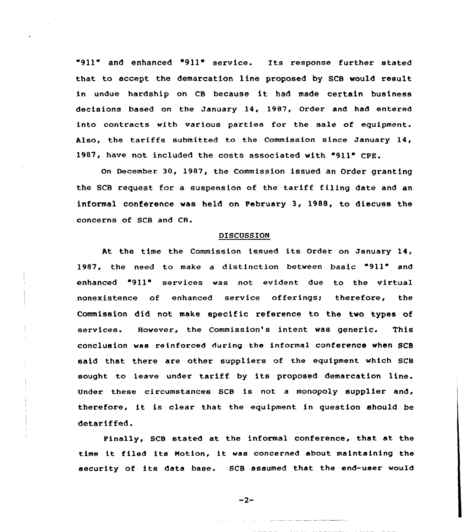"911" and enhanced "911" service. Its response further stated that to accept the demarcation line proposed by SCB would result in undue hardship on CB because it had made certain business decisions based on the January 14, 1987, Order and had entered into contracts with various parties for the sale of equipment. Also, the tariffs submitted to the Commission since January 14, 1987, have not included the costs associated with "911" CPE.

On December 30, 1987, the Commission issued an Order granting the SCB request for a suspension of the tariff filing date and an informal conference was held on February 3, 1988, to discuss the concerns of SCB and CR.

#### DISCUSSION

At the time the Commission issued its Order on January 14, 1987, the need to make a distinction between basic "911" and enhanced "911" services was not evident due to the virtual nonexistence of enhanced service offerings; therefore, the Commission did not make specific reference to the two types of services. However, the Commission's intent was generic. This conclusion was reinforced during the informal conference when SCB said that there are other suppliers of the equipment which SCB sought to leave under tariff by its proposed demarcation line. Under these circumstances SCB is not a monopoly supplier and, therefore, it is clear that the equipment in question should be detariffed.

Finally, SCB stated at the informal conference, that at the time it filed its Notion, it was concerned about maintaining the security of its data base. SCB assumed that the end-user wou1d

 $-2-$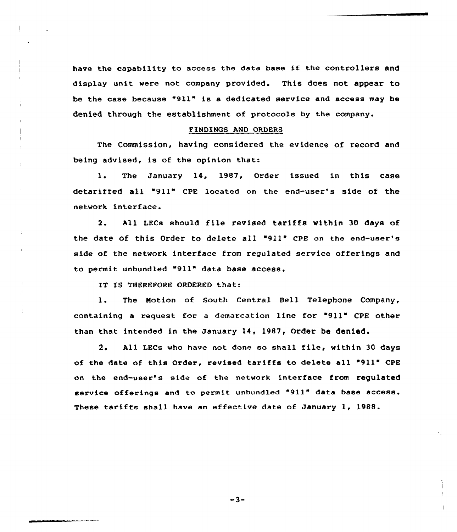have the capability to access the data base if the controllers and display unit were not company provided. This does not appear to be the case because "911" is e dedicated service and access mey be denied through the establishment of protocols by the company.

# FINDINGS AND ORDERS

The Commission, having considered the evidence of record and being advised, is of the opinion that:

1. The January 14, 1987, Order issued in this case detariffed all 911" CPE located on the end-user's side of the network interface.

2. All LECs should file revised tariffs within 30 days of the date of this Order to delete all "911" CPE on the end-user's side of the network interface from regulated service offerings and to permit unbundled "911" data base access.

IT IS THEREFORE ORDERED that:

1. The Notion of South Central Bell Telephone Company, containing a request for a demarcation line for "911" CPE other than that intended in the January 14, 1987, Order be denied.

2. All LECs who have not done so shall file, within <sup>30</sup> days of the date of this Order, revised tariffs to delete ell "911" CPE on the end-user's side of the network interface from regulated service offerings end to permit unbundled "911" data base access. These tariffs shall have an effective date of January 1, 1988.

 $-3-$